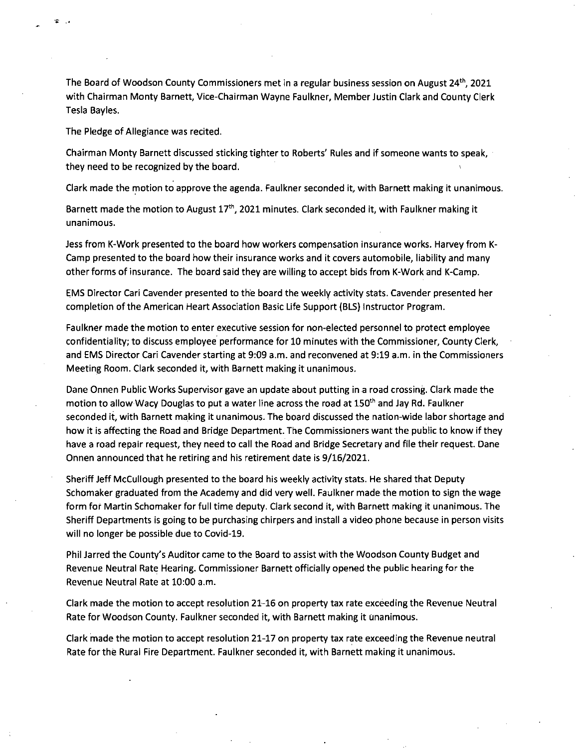The Board of Woodson County Commissioners met in a regular business session on August 24<sup>th</sup>, 2021 with Chairman Monty Barnett, Vice-Chairman Wayne Faulkner, Member Justin Clark and County Clerk Tesla Bayles.

The Pledge of Allegiance was recited.

Chairman Monty Barnett discussed sticking tighter to Roberts' Rules and if someone wants to speak, they need to be recognized by the board.

Clark made the motion to approve the agenda. Faulkner seconded it, with Barnett making it unanimous.

Barnett made the motion to August 17<sup>th</sup>, 2021 minutes. Clark seconded it, with Faulkner making it unanimous.

Jess from K-Work presented to the board how workers compensation insurance works. Harvey from K-Camp presented to the board how their insurance works and it covers automobile, liability and many other forms of insurance. The board said they are willing to accept bids from K-Work and K-Camp.

EMS Director Cari Cavender presented to the board the weekly activity stats. Cavender presented her completion of the American Heart Association Basic Life Support (BLS) Instructor Program.

Faulkner made the motion to enter executive session for non-elected personnel to protect employee confidentiality; to discuss employee performance for 10 minutes with the Commissioner, County Clerk, and EMS Director Cari Cavender starting at 9:09 a.m. and reconvened at 9:19 a.m. in the Commissioners Meeting Room. Clark seconded it, with Barnett making it unanimous.

Dane Onnen Public Works Supervisor gave an update about putting in .a road crossing. Clark made the motion to allow Wacy Douglas to put a water line across the road at 150<sup>th</sup> and Jay Rd. Faulkner seconded it, with Barnett making it unanimous. The board discussed the nation-wide labor shortage and how it is affecting the Road and Bridge Department. The Commissioners want the public to know if they have a road repair request, they need to call the Road and Bridge Secretary and file their request. Dane Onnen announced that he retiring and his retirement date is 9/16/2021.

Sheriff Jeff McCullough presented to the board his weekly activity stats. He shared that Deputy Schomaker graduated from the Academy and did very well. Faulkner made the motion to sign the wage form for Martin Schomaker for full time deputy. Clark second it, with Barnett making it unanimous. The Sheriff Departments is going to be purchasing chirpers and install a video phone because in person visits will no longer be possible due to Covid-19.

Phil Jarred the County's Auditor came to the Board to assist with the Woodson County Budget and Revenue Neutral Rate Hearing. Commissioner Barnett officially opened the public hearing for the Revenue Neutral Rate at 10:00 a.m.

Clark made the motion to accept resolution 21-16 on property tax rate exceeding the Revenue Neutral Rate for Woodson County. Faulkner seconded it, with Barnett making it unanimous.

Clark made the motion to accept resolution 21-17 on property tax rate exceeding the Revenue neutral Rate for the Rural Fire Department. Faulkner seconded it, with Barnett making it unanimous.